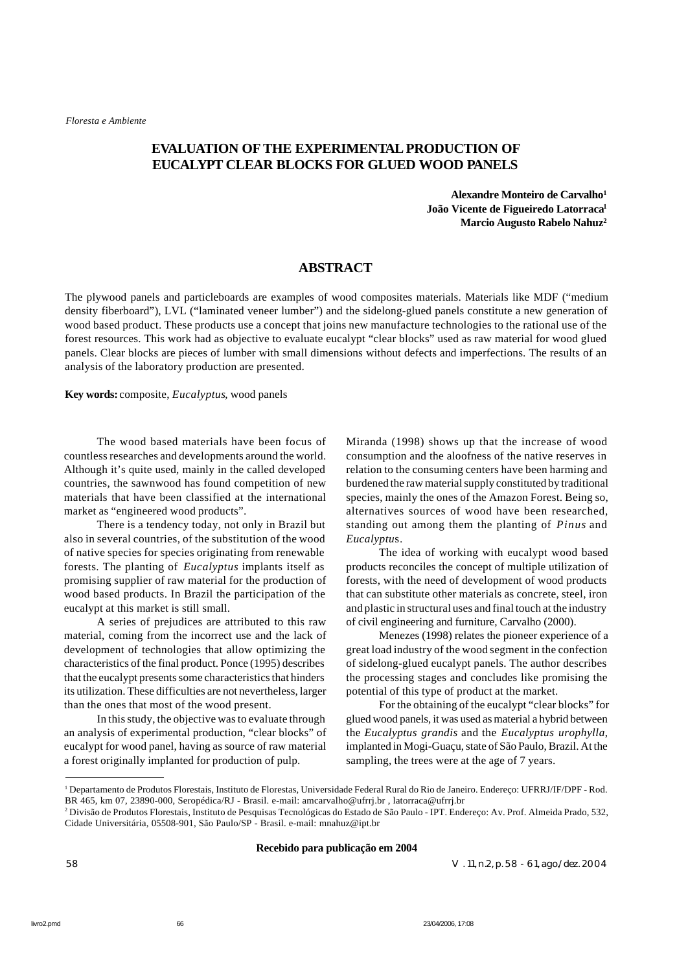# **EVALUATION OFTHE EXPERIMENTAL PRODUCTION OF EUCALYPT CLEAR BLOCKS FOR GLUED WOOD PANELS**

**Alexandre Monteiro de Carvalho<sup>1</sup> João Vicente de Figueiredo Latorraca<sup>1</sup> Marcio Augusto Rabelo Nahuz<sup>2</sup>**

### **ABSTRACT**

The plywood panels and particleboards are examples of wood composites materials. Materials like MDF ("medium density fiberboard"), LVL ("laminated veneer lumber") and the sidelong-glued panels constitute a new generation of wood based product. These products use a concept that joins new manufacture technologies to the rational use of the forest resources. This work had as objective to evaluate eucalypt "clear blocks" used as raw material for wood glued panels. Clear blocks are pieces of lumber with small dimensions without defects and imperfections. The results of an analysis of the laboratory production are presented.

**Key words:** composite, *Eucalyptus*, wood panels

The wood based materials have been focus of countless researches and developments around the world. Although it's quite used, mainly in the called developed countries, the sawnwood has found competition of new materials that have been classified at the international market as "engineered wood products".

There is a tendency today, not only in Brazil but also in several countries, of the substitution of the wood of native species for species originating from renewable forests. The planting of *Eucalyptus* implants itself as promising supplier of raw material for the production of wood based products. In Brazil the participation of the eucalypt at this market is still small.

A series of prejudices are attributed to this raw material, coming from the incorrect use and the lack of development of technologies that allow optimizing the characteristics of the final product. Ponce (1995) describes that the eucalypt presents some characteristics that hinders its utilization. These difficulties are not nevertheless, larger than the ones that most of the wood present.

In this study, the objective was to evaluate through an analysis of experimental production, "clear blocks" of eucalypt for wood panel, having as source of raw material a forest originally implanted for production of pulp.

Miranda (1998) shows up that the increase of wood consumption and the aloofness of the native reserves in relation to the consuming centers have been harming and burdened the raw material supply constituted by traditional species, mainly the ones of the Amazon Forest. Being so, alternatives sources of wood have been researched, standing out among them the planting of *Pinus* and *Eucalyptu*s.

The idea of working with eucalypt wood based products reconciles the concept of multiple utilization of forests, with the need of development of wood products that can substitute other materials as concrete, steel, iron and plastic in structural uses and final touch at the industry of civil engineering and furniture, Carvalho (2000).

Menezes (1998) relates the pioneer experience of a great load industry of the wood segment in the confection of sidelong-glued eucalypt panels. The author describes the processing stages and concludes like promising the potential of this type of product at the market.

For the obtaining of the eucalypt "clear blocks" for glued wood panels, it was used as material a hybrid between the *Eucalyptus grandis* and the *Eucalyptus urophylla*, implanted in Mogi-Guaçu, state of São Paulo, Brazil. At the sampling, the trees were at the age of 7 years.

**Recebido para publicação em 2004**

58 V. 11, n.2, p. 58 - 61, ago./dez. 2004

<sup>1</sup> Departamento de Produtos Florestais, Instituto de Florestas, Universidade Federal Rural do Rio de Janeiro. Endereço: UFRRJ/IF/DPF - Rod. BR 465, km 07, 23890-000, Seropédica/RJ - Brasil. e-mail: amcarvalho@ufrrj.br , latorraca@ufrrj.br

<sup>2</sup> Divisão de Produtos Florestais, Instituto de Pesquisas Tecnológicas do Estado de São Paulo - IPT. Endereço: Av. Prof. Almeida Prado, 532, Cidade Universitária, 05508-901, São Paulo/SP - Brasil. e-mail: mnahuz@ipt.br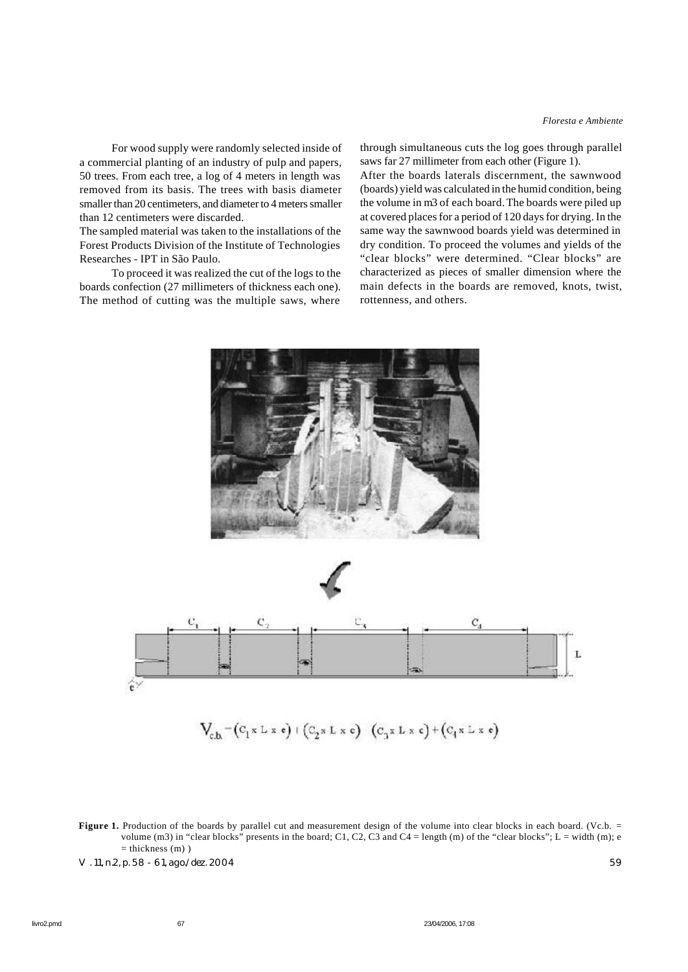For wood supply were randomly selected inside of a commercial planting of an industry of pulp and papers, 50 trees. From each tree, a log of 4 meters in length was removed from its basis. The trees with basis diameter smaller than 20 centimeters, and diameter to 4 meters smaller than 12 centimeters were discarded.

The sampled material was taken to the installations of the Forest Products Division of the Institute of Technologies Researches - IPT in São Paulo.

To proceed it was realized the cut of the logs to the boards confection (27 millimeters of thickness each one). The method of cutting was the multiple saws, where

through simultaneous cuts the log goes through parallel saws far 27 millimeter from each other (Figure 1).

After the boards laterals discernment, the sawnwood (boards) yield was calculated in the humid condition, being the volume in m3 of each board. The boards were piled up at covered places for a period of 120 days for drying. In the same way the sawnwood boards yield was determined in dry condition. To proceed the volumes and yields of the "clear blocks" were determined. "Clear blocks" are characterized as pieces of smaller dimension where the main defects in the boards are removed, knots, twist, rottenness, and others.



**Figure 1.** Production of the boards by parallel cut and measurement design of the volume into clear blocks in each board. (Vc.b. = volume  $(m3)$  in "clear blocks" presents in the board; C1, C2, C3 and C4 = length  $(m)$  of the "clear blocks"; L = width  $(m)$ ; e  $=$  thickness  $(m)$ )

V. 11, n.2, p. 58 - 61, ago./dez. 2004 59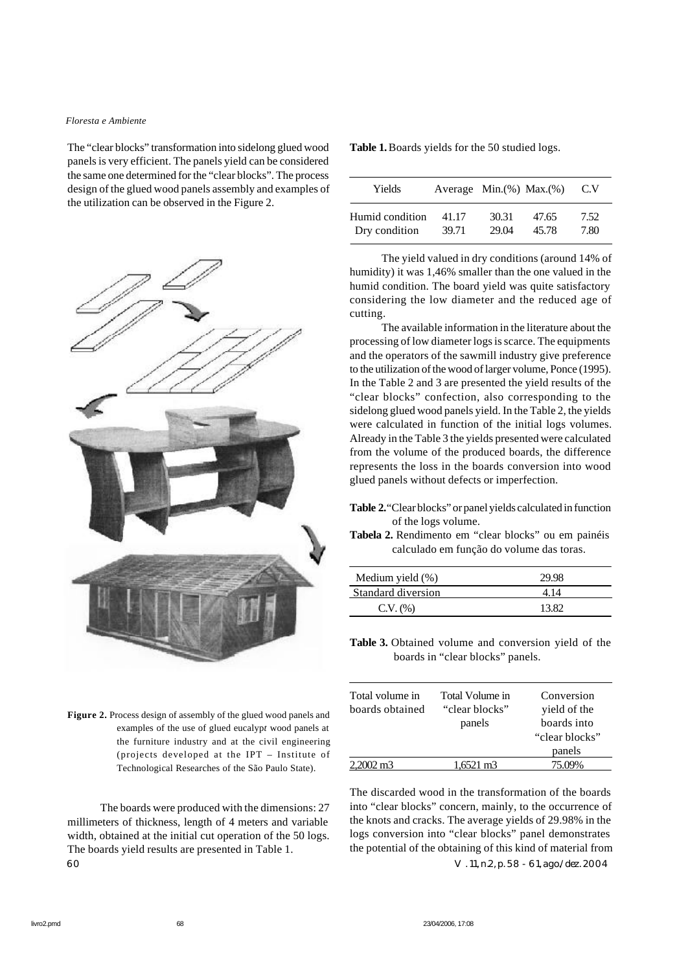#### *Floresta e Ambiente*

The "clear blocks" transformation into sidelong glued wood panels is very efficient. The panels yield can be considered the same one determined for the "clear blocks". The process design of the glued wood panels assembly and examples of the utilization can be observed in the Figure 2.



**Figure 2.** Process design of assembly of the glued wood panels and examples of the use of glued eucalyp*t* wood panels at the furniture industry and at the civil engineering (projects developed at the IPT – Institute of Technological Researches of the São Paulo State).

The boards were produced with the dimensions: 27 millimeters of thickness, length of 4 meters and variable width, obtained at the initial cut operation of the 50 logs. The boards yield results are presented in Table 1. 60 V. 11, n.2, p. 58 - 61, ago./dez. 2004

| Table 1. Boards yields for the 50 studied logs. |  |  |  |  |  |
|-------------------------------------------------|--|--|--|--|--|
|-------------------------------------------------|--|--|--|--|--|

| Yields          |       | Average Min. $(\%)$ Max. $(\%)$ |       | C.V  |
|-----------------|-------|---------------------------------|-------|------|
| Humid condition | 41.17 | 30.31                           | 47.65 | 7.52 |
| Dry condition   | 39.71 | 29.04                           | 45.78 | 7.80 |

The yield valued in dry conditions (around 14% of humidity) it was 1,46% smaller than the one valued in the humid condition. The board yield was quite satisfactory considering the low diameter and the reduced age of cutting.

The available information in the literature about the processing of low diameter logs is scarce. The equipments and the operators of the sawmill industry give preference to the utilization of the wood of larger volume, Ponce (1995). In the Table 2 and 3 are presented the yield results of the "clear blocks" confection, also corresponding to the sidelong glued wood panels yield. In the Table 2, the yields were calculated in function of the initial logs volumes. Already in the Table 3 the yields presented were calculated from the volume of the produced boards, the difference represents the loss in the boards conversion into wood glued panels without defects or imperfection.

- **Table 2.** "Clear blocks" or panel yields calculated in function of the logs volume.
- **Tabela 2.** Rendimento em "clear blocks" ou em painéis calculado em função do volume das toras.

| Medium yield (%)   | 29.98 |
|--------------------|-------|
| Standard diversion | 4.14  |
| C.V. (%)           | 13.82 |

**Table 3.** Obtained volume and conversion yield of the boards in "clear blocks" panels.

| Total volume in      | Total Volume in | Conversion     |
|----------------------|-----------------|----------------|
| boards obtained      | "clear blocks"  | yield of the   |
|                      | panels          | boards into    |
|                      |                 | "clear blocks" |
|                      |                 | panels         |
| $2,2002 \text{ m}^3$ | 1.6521 m3       | 75.09%         |

The discarded wood in the transformation of the boards into "clear blocks" concern, mainly, to the occurrence of the knots and cracks. The average yields of 29.98% in the logs conversion into "clear blocks" panel demonstrates the potential of the obtaining of this kind of material from